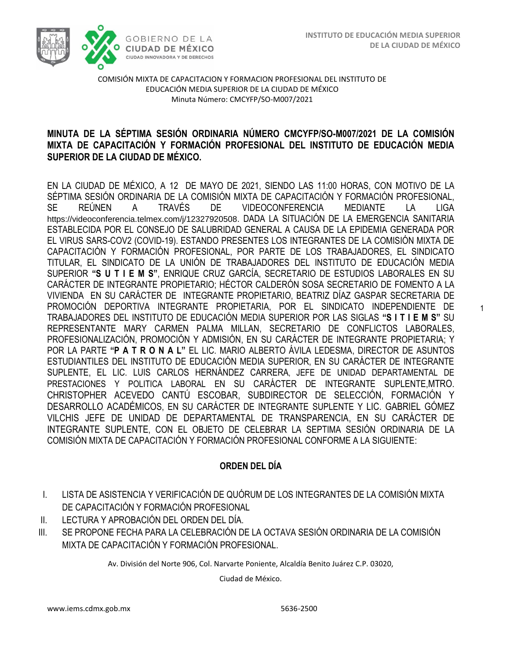1



COMISIÓN MIXTA DE CAPACITACION Y FORMACION PROFESIONAL DEL INSTITUTO DE EDUCACIÓN MEDIA SUPERIOR DE LA CIUDAD DE MÉXICO Minuta Número: CMCYFP/SO-M007/2021

### /2020 **MINUTA DE LA SÉPTIMA SESIÓN ORDINARIA NÚMERO CMCYFP/SO-M007/2021 DE LA COMISIÓN MIXTA DE CAPACITACIÓN Y FORMACIÓN PROFESIONAL DEL INSTITUTO DE EDUCACIÓN MEDIA SUPERIOR DE LA CIUDAD DE MÉXICO.**

EN LA CIUDAD DE MÉXICO, A 12 DE MAYO DE 2021, SIENDO LAS 11:00 HORAS, CON MOTIVO DE LA SÉPTIMA SESIÓN ORDINARIA DE LA COMISIÓN MIXTA DE CAPACITACIÓN Y FORMACIÓN PROFESIONAL, SE REÚNEN A TRAVÉS DE VIDEOCONFERENCIA MEDIANTE LA LIGA <https://videoconferencia.telmex.com/j/12327920508>. DADA LA SITUACIÓN DE LA EMERGENCIA SANITARIA ESTABLECIDA POR EL CONSEJO DE SALUBRIDAD GENERAL A CAUSA DE LA EPIDEMIA GENERADA POR EL VIRUS SARS-COV2 (COVID-19). ESTANDO PRESENTES LOS INTEGRANTES DE LA COMISIÓN MIXTA DE CAPACITACIÓN Y FORMACIÓN PROFESIONAL, POR PARTE DE LOS TRABAJADORES, EL SINDICATO TITULAR, EL SINDICATO DE LA UNIÓN DE TRABAJADORES DEL INSTITUTO DE EDUCACIÓN MEDIA SUPERIOR **"S U T I E M S"**, ENRIQUE CRUZ GARCÍA, SECRETARIO DE ESTUDIOS LABORALES EN SU CARÁCTER DE INTEGRANTE PROPIETARIO; HÉCTOR CALDERÓN SOSA SECRETARIO DE FOMENTO A LA VIVIENDA EN SU CARÁCTER DE INTEGRANTE PROPIETARIO, BEATRIZ DÍAZ GASPAR SECRETARIA DE PROMOCIÓN DEPORTIVA INTEGRANTE PROPIETARIA, POR EL SINDICATO INDEPENDIENTE DE TRABAJADORES DEL INSTITUTO DE EDUCACIÓN MEDIA SUPERIOR POR LAS SIGLAS **"S I T I E M S"** SU REPRESENTANTE MARY CARMEN PALMA MILLAN, SECRETARIO DE CONFLICTOS LABORALES, PROFESIONALIZACIÓN, PROMOCIÓN Y ADMISIÓN, EN SU CARÁCTER DE INTEGRANTE PROPIETARIA; Y POR LA PARTE **"P A T R O N A L"** EL LIC. MARIO ALBERTO ÁVILA LEDESMA, DIRECTOR DE ASUNTOS ESTUDIANTILES DEL INSTITUTO DE EDUCACIÓN MEDIA SUPERIOR, EN SU CARÁCTER DE INTEGRANTE SUPLENTE, EL LIC. LUIS CARLOS HERNÁNDEZ CARRERA, JEFE DE UNIDAD DEPARTAMENTAL DE PRESTACIONES Y POLITICA LABORAL EN SU CARÁCTER DE INTEGRANTE SUPLENTE,MTRO. CHRISTOPHER ACEVEDO CANTÚ ESCOBAR, SUBDIRECTOR DE SELECCIÓN, FORMACIÓN Y DESARROLLO ACADÉMICOS, EN SU CARÁCTER DE INTEGRANTE SUPLENTE Y LIC. GABRIEL GÓMEZ VILCHIS JEFE DE UNIDAD DE DEPARTAMENTAL DE TRANSPARENCIA, EN SU CARÁCTER DE INTEGRANTE SUPLENTE, CON EL OBJETO DE CELEBRAR LA SEPTIMA SESIÓN ORDINARIA DE LA COMISIÓN MIXTA DE CAPACITACIÓN Y FORMACIÓN PROFESIONAL CONFORME A LA SIGUIENTE:

### **ORDEN DEL DÍA**

- I. LISTA DE ASISTENCIA Y VERIFICACIÓN DE QUÓRUM DE LOS INTEGRANTES DE LA COMISIÓN MIXTA DE CAPACITACIÓN Y FORMACIÓN PROFESIONAL
- II. LECTURA Y APROBACIÓN DEL ORDEN DEL DÍA.
- III. SE PROPONE FECHA PARA LA CELEBRACIÓN DE LA OCTAVA SESIÓN ORDINARIA DE LA COMISIÓN MIXTA DE CAPACITACIÓN Y FORMACIÓN PROFESIONAL.

Av. División del Norte 906, Col. Narvarte Poniente, Alcaldía Benito Juárez C.P. 03020,

Ciudad de México.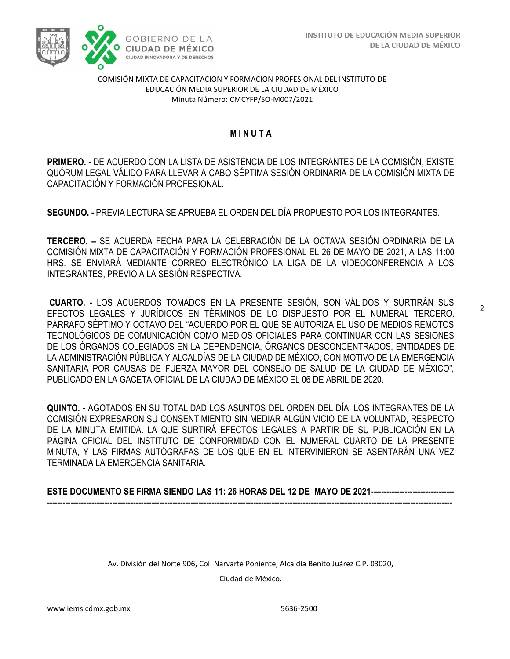

#### COMISIÓN MIXTA DE CAPACITACION Y FORMACION PROFESIONAL DEL INSTITUTO DE EDUCACIÓN MEDIA SUPERIOR DE LA CIUDAD DE MÉXICO Minuta Número: CMCYFP/SO-M007/2021

# /2020 **M I N U T A**

**PRIMERO. -** DE ACUERDO CON LA LISTA DE ASISTENCIA DE LOS INTEGRANTES DE LA COMISIÓN, EXISTE QUÓRUM LEGAL VÁLIDO PARA LLEVAR A CABO SÉPTIMA SESIÓN ORDINARIA DE LA COMISIÓN MIXTA DE CAPACITACIÓN Y FORMACIÓN PROFESIONAL.

**SEGUNDO. -** PREVIA LECTURA SE APRUEBA EL ORDEN DEL DÍA PROPUESTO POR LOS INTEGRANTES.

**TERCERO. –** SE ACUERDA FECHA PARA LA CELEBRACIÓN DE LA OCTAVA SESIÓN ORDINARIA DE LA COMISIÓN MIXTA DE CAPACITACIÓN Y FORMACIÓN PROFESIONAL EL 26 DE MAYO DE 2021, A LAS 11:00 HRS. SE ENVIARÁ MEDIANTE CORREO ELECTRÓNICO LA LIGA DE LA VIDEOCONFERENCIA A LOS INTEGRANTES, PREVIO A LA SESIÓN RESPECTIVA.

**CUARTO. -** LOS ACUERDOS TOMADOS EN LA PRESENTE SESIÓN, SON VÁLIDOS Y SURTIRÁN SUS EFECTOS LEGALES Y JURÍDICOS EN TÉRMINOS DE LO DISPUESTO POR EL NUMERAL TERCERO. PÁRRAFO SÉPTIMO Y OCTAVO DEL "ACUERDO POR EL QUE SE AUTORIZA EL USO DE MEDIOS REMOTOS TECNOLÓGICOS DE COMUNICACIÓN COMO MEDIOS OFICIALES PARA CONTINUAR CON LAS SESIONES DE LOS ÓRGANOS COLEGIADOS EN LA DEPENDENCIA, ÓRGANOS DESCONCENTRADOS, ENTIDADES DE LA ADMINISTRACIÓN PÚBLICA Y ALCALDÍAS DE LA CIUDAD DE MÉXICO, CON MOTIVO DE LA EMERGENCIA SANITARIA POR CAUSAS DE FUERZA MAYOR DEL CONSEJO DE SALUD DE LA CIUDAD DE MÉXICO", PUBLICADO EN LA GACETA OFICIAL DE LA CIUDAD DE MÉXICO EL 06 DE ABRIL DE 2020.

**QUINTO. -** AGOTADOS EN SU TOTALIDAD LOS ASUNTOS DEL ORDEN DEL DÍA, LOS INTEGRANTES DE LA COMISIÓN EXPRESARON SU CONSENTIMIENTO SIN MEDIAR ALGÚN VICIO DE LA VOLUNTAD, RESPECTO DE LA MINUTA EMITIDA. LA QUE SURTIRÁ EFECTOS LEGALES A PARTIR DE SU PUBLICACIÓN EN LA PÁGINA OFICIAL DEL INSTITUTO DE CONFORMIDAD CON EL NUMERAL CUARTO DE LA PRESENTE MINUTA, Y LAS FIRMAS AUTÓGRAFAS DE LOS QUE EN EL INTERVINIERON SE ASENTARÁN UNA VEZ TERMINADA LA EMERGENCIA SANITARIA.

**ESTE DOCUMENTO SE FIRMA SIENDO LAS 11: 26 HORAS DEL 12 DE MAYO DE 2021-------------------------------- -----------------------------------------------------------------------------------------------------------------------------------------------------------**

Av. División del Norte 906, Col. Narvarte Poniente, Alcaldía Benito Juárez C.P. 03020,

Ciudad de México.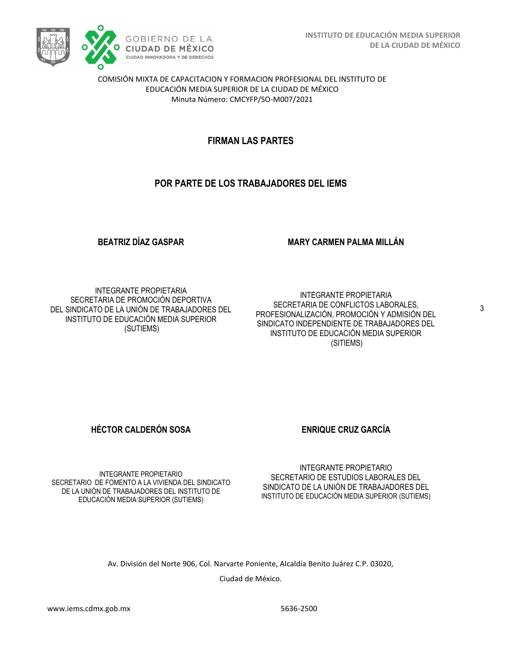

COMISIÓN MIXTA DE CAPACITACION Y FORMACION PROFESIONAL DEL INSTITUTO DE EDUCACIÓN MEDIA SUPERIOR DE LA CIUDAD DE MÉXICO Minuta Número: CMCYFP/SO-M007/2021

# **FIRMAN LAS PARTES**

# **POR PARTE DE LOS TRABAJADORES DEL IEMS**

### **BEATRIZ DÍAZ GASPAR**

#### **MARY CARMEN PALMA MILLÁN**

INTEGRANTE PROPIETARIA SECRETARIA DE PROMOCIÓN DEPORTIVA DEL SINDICATO DE LA UNIÓN DE TRABAJADORES DEL INSTITUTO DE EDUCACIÓN MEDIA SUPERIOR (SUTIEMS)

INTEGRANTE PROPIETARIA SECRETARIA DE CONFLICTOS LABORALES, PROFESIONALIZACIÓN, PROMOCIÓN Y ADMISIÓN DEL SINDICATO INDEPENDIENTE DE TRABAJADORES DEL INSTITUTO DE EDUCACIÓN MEDIA SUPERIOR (SITIEMS)

**HÉCTOR CALDERÓN SOSA ENRIQUE CRUZ GARCÍA** 

INTEGRANTE PROPIETARIO SECRETARIO DE FOMENTO A LA VIVIENDA DEL SINDICATO DE LA UNIÓN DE TRABAJADORES DEL INSTITUTO DE EDUCACIÓN MEDIA SUPERIOR (SUTIEMS)

INTEGRANTE PROPIETARIO SECRETARIO DE ESTUDIOS LABORALES DEL SINDICATO DE LA UNIÓN DE TRABAJADORES DEL INSTITUTO DE EDUCACIÓN MEDIA SUPERIOR (SUTIEMS)

Av. División del Norte 906, Col. Narvarte Poniente, Alcaldía Benito Juárez C.P. 03020,

Ciudad de México.